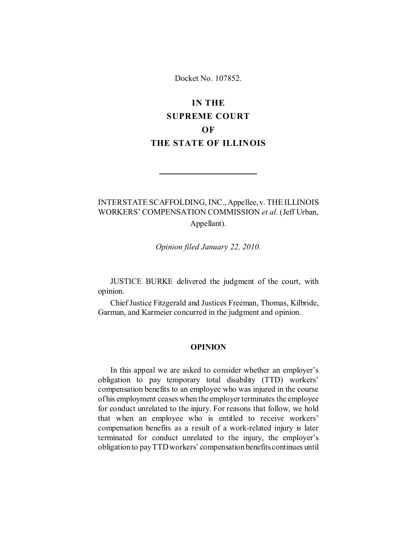Docket No. 107852.

# **IN THE SUPREME COURT OF THE STATE OF ILLINOIS**

## INTERSTATE SCAFFOLDING, INC., Appellee, v. THE ILLINOIS WORKERS' COMPENSATION COMMISSION *et al*. (Jeff Urban, Appellant).

*Opinion filed January 22, 2010.*

JUSTICE BURKE delivered the judgment of the court, with opinion.

Chief Justice Fitzgerald and Justices Freeman, Thomas, Kilbride, Garman, and Karmeier concurred in the judgment and opinion.

#### **OPINION**

In this appeal we are asked to consider whether an employer's obligation to pay temporary total disability (TTD) workers' compensation benefits to an employee who was injured in the course of his employment ceases when the employer terminates the employee for conduct unrelated to the injury. For reasons that follow, we hold that when an employee who is entitled to receive workers' compensation benefits as a result of a work-related injury is later terminated for conduct unrelated to the injury, the employer's obligation to pay TTD workers' compensation benefits continues until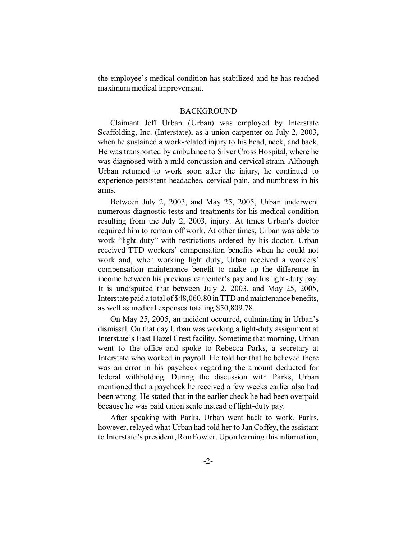the employee's medical condition has stabilized and he has reached maximum medical improvement.

#### BACKGROUND

Claimant Jeff Urban (Urban) was employed by Interstate Scaffolding, Inc. (Interstate), as a union carpenter on July 2, 2003, when he sustained a work-related injury to his head, neck, and back. He was transported by ambulance to Silver Cross Hospital, where he was diagnosed with a mild concussion and cervical strain. Although Urban returned to work soon after the injury, he continued to experience persistent headaches, cervical pain, and numbness in his arms.

Between July 2, 2003, and May 25, 2005, Urban underwent numerous diagnostic tests and treatments for his medical condition resulting from the July 2, 2003, injury. At times Urban's doctor required him to remain off work. At other times, Urban was able to work "light duty" with restrictions ordered by his doctor. Urban received TTD workers' compensation benefits when he could not work and, when working light duty, Urban received a workers' compensation maintenance benefit to make up the difference in income between his previous carpenter's pay and his light-duty pay. It is undisputed that between July 2, 2003, and May 25, 2005, Interstate paid a total of \$48,060.80 in TTD and maintenance benefits, as well as medical expenses totaling \$50,809.78.

On May 25, 2005, an incident occurred, culminating in Urban's dismissal. On that day Urban was working a light-duty assignment at Interstate's East Hazel Crest facility. Sometime that morning, Urban went to the office and spoke to Rebecca Parks, a secretary at Interstate who worked in payroll. He told her that he believed there was an error in his paycheck regarding the amount deducted for federal withholding. During the discussion with Parks, Urban mentioned that a paycheck he received a few weeks earlier also had been wrong. He stated that in the earlier check he had been overpaid because he was paid union scale instead of light-duty pay.

After speaking with Parks, Urban went back to work. Parks, however, relayed what Urban had told her to Jan Coffey, the assistant to Interstate's president, Ron Fowler. Upon learning this information,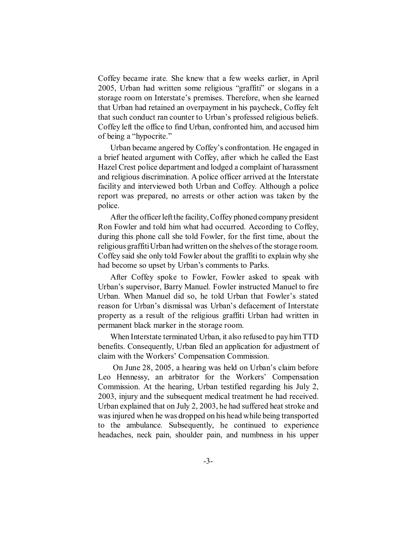Coffey became irate. She knew that a few weeks earlier, in April 2005, Urban had written some religious "graffiti" or slogans in a storage room on Interstate's premises. Therefore, when she learned that Urban had retained an overpayment in his paycheck, Coffey felt that such conduct ran counter to Urban's professed religious beliefs. Coffey left the office to find Urban, confronted him, and accused him of being a "hypocrite."

Urban became angered by Coffey's confrontation. He engaged in a brief heated argument with Coffey, after which he called the East Hazel Crest police department and lodged a complaint of harassment and religious discrimination. A police officer arrived at the Interstate facility and interviewed both Urban and Coffey. Although a police report was prepared, no arrests or other action was taken by the police.

After the officer left the facility, Coffey phoned company president Ron Fowler and told him what had occurred. According to Coffey, during this phone call she told Fowler, for the first time, about the religious graffiti Urban had written on the shelves of the storage room. Coffey said she only told Fowler about the graffiti to explain why she had become so upset by Urban's comments to Parks.

After Coffey spoke to Fowler, Fowler asked to speak with Urban's supervisor, Barry Manuel. Fowler instructed Manuel to fire Urban. When Manuel did so, he told Urban that Fowler's stated reason for Urban's dismissal was Urban's defacement of Interstate property as a result of the religious graffiti Urban had written in permanent black marker in the storage room.

When Interstate terminated Urban, it also refused to pay him TTD benefits. Consequently, Urban filed an application for adjustment of claim with the Workers' Compensation Commission.

On June 28, 2005, a hearing was held on Urban's claim before Leo Hennessy, an arbitrator for the Workers' Compensation Commission. At the hearing, Urban testified regarding his July 2, 2003, injury and the subsequent medical treatment he had received. Urban explained that on July 2, 2003, he had suffered heat stroke and was injured when he was dropped on his head while being transported to the ambulance. Subsequently, he continued to experience headaches, neck pain, shoulder pain, and numbness in his upper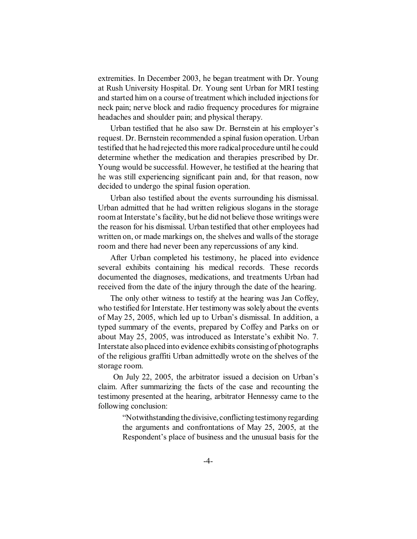extremities. In December 2003, he began treatment with Dr. Young at Rush University Hospital. Dr. Young sent Urban for MRI testing and started him on a course of treatment which included injections for neck pain; nerve block and radio frequency procedures for migraine headaches and shoulder pain; and physical therapy.

Urban testified that he also saw Dr. Bernstein at his employer's request. Dr. Bernstein recommended a spinal fusion operation. Urban testified that he had rejected this more radical procedure until he could determine whether the medication and therapies prescribed by Dr. Young would be successful. However, he testified at the hearing that he was still experiencing significant pain and, for that reason, now decided to undergo the spinal fusion operation.

Urban also testified about the events surrounding his dismissal. Urban admitted that he had written religious slogans in the storage room at Interstate's facility, but he did not believe those writings were the reason for his dismissal. Urban testified that other employees had written on, or made markings on, the shelves and walls of the storage room and there had never been any repercussions of any kind.

After Urban completed his testimony, he placed into evidence several exhibits containing his medical records. These records documented the diagnoses, medications, and treatments Urban had received from the date of the injury through the date of the hearing.

The only other witness to testify at the hearing was Jan Coffey, who testified for Interstate. Her testimony was solely about the events of May 25, 2005, which led up to Urban's dismissal. In addition, a typed summary of the events, prepared by Coffey and Parks on or about May 25, 2005, was introduced as Interstate's exhibit No. 7. Interstate also placed into evidence exhibits consisting of photographs of the religious graffiti Urban admittedly wrote on the shelves of the storage room.

 On July 22, 2005, the arbitrator issued a decision on Urban's claim. After summarizing the facts of the case and recounting the testimony presented at the hearing, arbitrator Hennessy came to the following conclusion:

> "Notwithstanding the divisive, conflicting testimony regarding the arguments and confrontations of May 25, 2005, at the Respondent's place of business and the unusual basis for the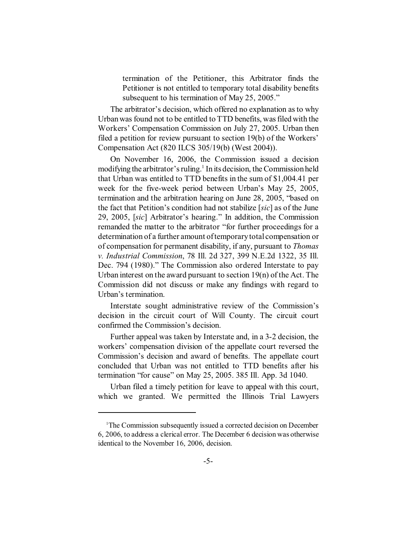termination of the Petitioner, this Arbitrator finds the Petitioner is not entitled to temporary total disability benefits subsequent to his termination of May 25, 2005."

The arbitrator's decision, which offered no explanation as to why Urban was found not to be entitled to TTD benefits, was filed with the Workers' Compensation Commission on July 27, 2005. Urban then filed a petition for review pursuant to section 19(b) of the Workers' Compensation Act (820 ILCS 305/19(b) (West 2004)).

On November 16, 2006, the Commission issued a decision modifying the arbitrator's ruling.<sup>1</sup> In its decision, the Commission held that Urban was entitled to TTD benefits in the sum of \$1,004.41 per week for the five-week period between Urban's May 25, 2005, termination and the arbitration hearing on June 28, 2005, "based on the fact that Petition's condition had not stabilize [*sic*] as of the June 29, 2005, [*sic*] Arbitrator's hearing." In addition, the Commission remanded the matter to the arbitrator "for further proceedings for a determination of a further amount of temporary total compensation or of compensation for permanent disability, if any, pursuant to *Thomas v. Industrial Commission*, 78 Ill. 2d 327, 399 N.E.2d 1322, 35 Ill. Dec. 794 (1980)." The Commission also ordered Interstate to pay Urban interest on the award pursuant to section 19(n) of the Act. The Commission did not discuss or make any findings with regard to Urban's termination.

Interstate sought administrative review of the Commission's decision in the circuit court of Will County. The circuit court confirmed the Commission's decision.

Further appeal was taken by Interstate and, in a 3-2 decision, the workers' compensation division of the appellate court reversed the Commission's decision and award of benefits. The appellate court concluded that Urban was not entitled to TTD benefits after his termination "for cause" on May 25, 2005. 385 Ill. App. 3d 1040.

Urban filed a timely petition for leave to appeal with this court, which we granted. We permitted the Illinois Trial Lawyers

<sup>&</sup>lt;sup>1</sup>The Commission subsequently issued a corrected decision on December 6, 2006, to address a clerical error. The December 6 decision was otherwise identical to the November 16, 2006, decision.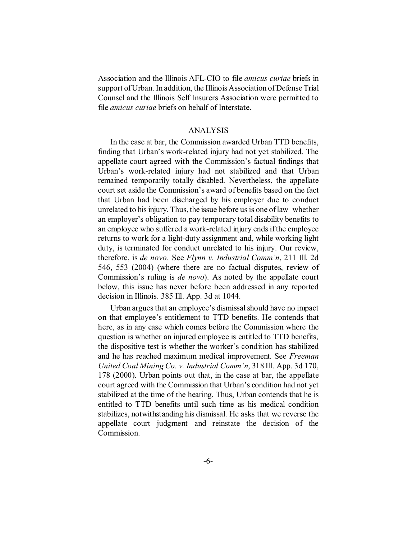Association and the Illinois AFL-CIO to file *amicus curiae* briefs in support of Urban. In addition, the Illinois Association of Defense Trial Counsel and the Illinois Self Insurers Association were permitted to file *amicus curiae* briefs on behalf of Interstate.

### ANALYSIS

In the case at bar, the Commission awarded Urban TTD benefits, finding that Urban's work-related injury had not yet stabilized. The appellate court agreed with the Commission's factual findings that Urban's work-related injury had not stabilized and that Urban remained temporarily totally disabled. Nevertheless, the appellate court set aside the Commission's award of benefits based on the fact that Urban had been discharged by his employer due to conduct unrelated to his injury. Thus, the issue before us is one of law–whether an employer's obligation to pay temporary total disability benefits to an employee who suffered a work-related injury ends if the employee returns to work for a light-duty assignment and, while working light duty, is terminated for conduct unrelated to his injury. Our review, therefore, is *de novo*. See *Flynn v. Industrial Comm'n*, 211 Ill. 2d 546, 553 (2004) (where there are no factual disputes, review of Commission's ruling is *de novo*). As noted by the appellate court below, this issue has never before been addressed in any reported decision in Illinois. 385 Ill. App. 3d at 1044.

Urban argues that an employee's dismissal should have no impact on that employee's entitlement to TTD benefits. He contends that here, as in any case which comes before the Commission where the question is whether an injured employee is entitled to TTD benefits, the dispositive test is whether the worker's condition has stabilized and he has reached maximum medical improvement. See *Freeman United Coal Mining Co. v. Industrial Comm'n*, 318 Ill. App. 3d 170, 178 (2000). Urban points out that, in the case at bar, the appellate court agreed with the Commission that Urban's condition had not yet stabilized at the time of the hearing. Thus, Urban contends that he is entitled to TTD benefits until such time as his medical condition stabilizes, notwithstanding his dismissal. He asks that we reverse the appellate court judgment and reinstate the decision of the Commission.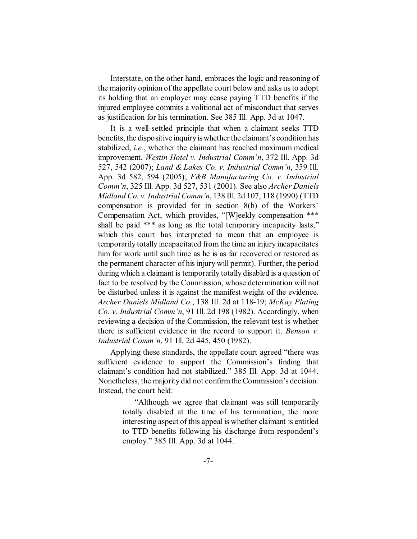Interstate, on the other hand, embraces the logic and reasoning of the majority opinion of the appellate court below and asks us to adopt its holding that an employer may cease paying TTD benefits if the injured employee commits a volitional act of misconduct that serves as justification for his termination. See 385 Ill. App. 3d at 1047.

It is a well-settled principle that when a claimant seeks TTD benefits, the dispositive inquiry is whether the claimant's condition has stabilized, *i.e.*, whether the claimant has reached maximum medical improvement. *Westin Hotel v. Industrial Comm'n*, 372 Ill. App. 3d 527, 542 (2007); *Land & Lakes Co. v. Industrial Comm'n*, 359 Ill. App. 3d 582, 594 (2005); *F&B Manufacturing Co. v. Industrial Comm'n*, 325 Ill. App. 3d 527, 531 (2001). See also *Archer Daniels Midland Co. v. Industrial Comm'n*, 138 Ill. 2d 107, 118 (1990) (TTD compensation is provided for in section 8(b) of the Workers' Compensation Act, which provides, "[W]eekly compensation \*\*\* shall be paid \*\*\* as long as the total temporary incapacity lasts," which this court has interpreted to mean that an employee is temporarily totally incapacitated from the time an injury incapacitates him for work until such time as he is as far recovered or restored as the permanent character of his injury will permit). Further, the period during which a claimant is temporarily totally disabled is a question of fact to be resolved by the Commission, whose determination will not be disturbed unless it is against the manifest weight of the evidence. *Archer Daniels Midland Co.*, 138 Ill. 2d at 118-19; *McKay Plating Co. v. Industrial Comm'n*, 91 Ill. 2d 198 (1982). Accordingly, when reviewing a decision of the Commission, the relevant test is whether there is sufficient evidence in the record to support it. *Benson v. Industrial Comm'n*, 91 Ill. 2d 445, 450 (1982).

Applying these standards, the appellate court agreed "there was sufficient evidence to support the Commission's finding that claimant's condition had not stabilized." 385 Ill. App. 3d at 1044. Nonetheless, the majority did not confirm the Commission's decision. Instead, the court held:

> "Although we agree that claimant was still temporarily totally disabled at the time of his termination, the more interesting aspect of this appeal is whether claimant is entitled to TTD benefits following his discharge from respondent's employ." 385 Ill. App. 3d at 1044.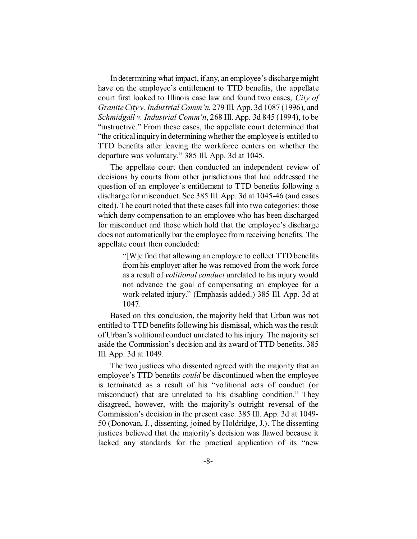In determining what impact, if any, an employee's discharge might have on the employee's entitlement to TTD benefits, the appellate court first looked to Illinois case law and found two cases, *City of Granite City v. Industrial Comm'n*, 279 Ill. App. 3d 1087 (1996), and *Schmidgall v. Industrial Comm'n*, 268 Ill. App. 3d 845 (1994), to be "instructive." From these cases, the appellate court determined that "the critical inquiry in determining whether the employee is entitled to TTD benefits after leaving the workforce centers on whether the departure was voluntary." 385 Ill. App. 3d at 1045.

The appellate court then conducted an independent review of decisions by courts from other jurisdictions that had addressed the question of an employee's entitlement to TTD benefits following a discharge for misconduct. See 385 Ill. App. 3d at 1045-46 (and cases cited). The court noted that these cases fall into two categories: those which deny compensation to an employee who has been discharged for misconduct and those which hold that the employee's discharge does not automatically bar the employee from receiving benefits. The appellate court then concluded:

> "[W]e find that allowing an employee to collect TTD benefits from his employer after he was removed from the work force as a result of *volitional conduct* unrelated to his injury would not advance the goal of compensating an employee for a work-related injury." (Emphasis added.) 385 Ill. App. 3d at 1047.

Based on this conclusion, the majority held that Urban was not entitled to TTD benefits following his dismissal, which was the result of Urban's volitional conduct unrelated to his injury. The majority set aside the Commission's decision and its award of TTD benefits. 385 Ill. App. 3d at 1049.

The two justices who dissented agreed with the majority that an employee's TTD benefits *could* be discontinued when the employee is terminated as a result of his "volitional acts of conduct (or misconduct) that are unrelated to his disabling condition." They disagreed, however, with the majority's outright reversal of the Commission's decision in the present case. 385 Ill. App. 3d at 1049- 50 (Donovan, J., dissenting, joined by Holdridge, J.). The dissenting justices believed that the majority's decision was flawed because it lacked any standards for the practical application of its "new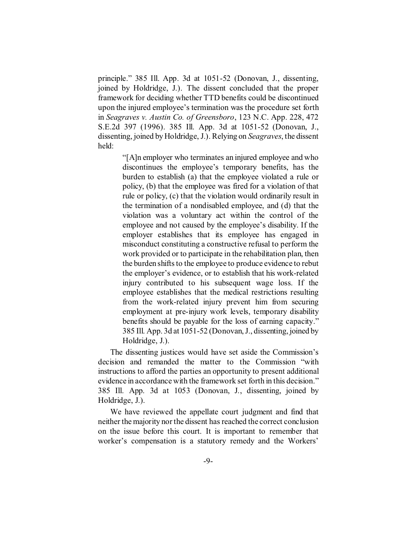principle." 385 Ill. App. 3d at 1051-52 (Donovan, J., dissenting, joined by Holdridge, J.). The dissent concluded that the proper framework for deciding whether TTD benefits could be discontinued upon the injured employee's termination was the procedure set forth in *Seagraves v. Austin Co. of Greensboro*, 123 N.C. App. 228, 472 S.E.2d 397 (1996). 385 Ill. App. 3d at 1051-52 (Donovan, J., dissenting, joined by Holdridge, J.). Relying on *Seagraves*, the dissent held:

> "[A]n employer who terminates an injured employee and who discontinues the employee's temporary benefits, has the burden to establish (a) that the employee violated a rule or policy, (b) that the employee was fired for a violation of that rule or policy, (c) that the violation would ordinarily result in the termination of a nondisabled employee, and (d) that the violation was a voluntary act within the control of the employee and not caused by the employee's disability. If the employer establishes that its employee has engaged in misconduct constituting a constructive refusal to perform the work provided or to participate in the rehabilitation plan, then the burden shifts to the employee to produce evidence to rebut the employer's evidence, or to establish that his work-related injury contributed to his subsequent wage loss. If the employee establishes that the medical restrictions resulting from the work-related injury prevent him from securing employment at pre-injury work levels, temporary disability benefits should be payable for the loss of earning capacity." 385 Ill. App. 3d at 1051-52 (Donovan, J., dissenting, joined by Holdridge, J.).

The dissenting justices would have set aside the Commission's decision and remanded the matter to the Commission "with instructions to afford the parties an opportunity to present additional evidence in accordance with the framework set forth in this decision." 385 Ill. App. 3d at 1053 (Donovan, J., dissenting, joined by Holdridge, J.).

We have reviewed the appellate court judgment and find that neither the majority nor the dissent has reached the correct conclusion on the issue before this court. It is important to remember that worker's compensation is a statutory remedy and the Workers'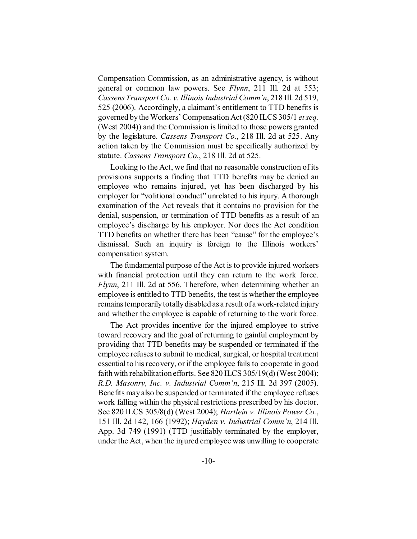Compensation Commission, as an administrative agency, is without general or common law powers. See *Flynn*, 211 Ill. 2d at 553; *Cassens Transport Co. v. Illinois Industrial Comm'n*, 218 Ill. 2d 519, 525 (2006). Accordingly, a claimant's entitlement to TTD benefits is governed by the Workers' Compensation Act (820 ILCS 305/1 *et seq.* (West 2004)) and the Commission is limited to those powers granted by the legislature. *Cassens Transport Co.*, 218 Ill. 2d at 525. Any action taken by the Commission must be specifically authorized by statute. *Cassens Transport Co.*, 218 Ill. 2d at 525.

Looking to the Act, we find that no reasonable construction of its provisions supports a finding that TTD benefits may be denied an employee who remains injured, yet has been discharged by his employer for "volitional conduct" unrelated to his injury. A thorough examination of the Act reveals that it contains no provision for the denial, suspension, or termination of TTD benefits as a result of an employee's discharge by his employer. Nor does the Act condition TTD benefits on whether there has been "cause" for the employee's dismissal. Such an inquiry is foreign to the Illinois workers' compensation system.

The fundamental purpose of the Act is to provide injured workers with financial protection until they can return to the work force. *Flynn*, 211 Ill. 2d at 556. Therefore, when determining whether an employee is entitled to TTD benefits, the test is whether the employee remains temporarily totally disabled as a result of a work-related injury and whether the employee is capable of returning to the work force.

The Act provides incentive for the injured employee to strive toward recovery and the goal of returning to gainful employment by providing that TTD benefits may be suspended or terminated if the employee refuses to submit to medical, surgical, or hospital treatment essential to his recovery, or if the employee fails to cooperate in good faith with rehabilitation efforts. See 820 ILCS 305/19(d) (West 2004); *R.D. Masonry, Inc. v. Industrial Comm'n*, 215 Ill. 2d 397 (2005). Benefits may also be suspended or terminated if the employee refuses work falling within the physical restrictions prescribed by his doctor. See 820 ILCS 305/8(d) (West 2004); *Hartlein v. Illinois Power Co.*, 151 Ill. 2d 142, 166 (1992); *Hayden v. Industrial Comm'n*, 214 Ill. App. 3d 749 (1991) (TTD justifiably terminated by the employer, under the Act, when the injured employee was unwilling to cooperate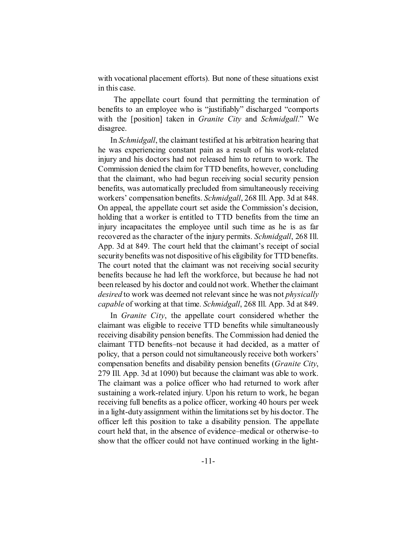with vocational placement efforts). But none of these situations exist in this case.

 The appellate court found that permitting the termination of benefits to an employee who is "justifiably" discharged "comports with the [position] taken in *Granite City* and *Schmidgall*." We disagree.

In *Schmidgall*, the claimant testified at his arbitration hearing that he was experiencing constant pain as a result of his work-related injury and his doctors had not released him to return to work. The Commission denied the claim for TTD benefits, however, concluding that the claimant, who had begun receiving social security pension benefits, was automatically precluded from simultaneously receiving workers' compensation benefits. *Schmidgall*, 268 Ill. App. 3d at 848. On appeal, the appellate court set aside the Commission's decision, holding that a worker is entitled to TTD benefits from the time an injury incapacitates the employee until such time as he is as far recovered as the character of the injury permits. *Schmidgall*, 268 Ill. App. 3d at 849. The court held that the claimant's receipt of social security benefits was not dispositive of his eligibility for TTD benefits. The court noted that the claimant was not receiving social security benefits because he had left the workforce, but because he had not been released by his doctor and could not work. Whether the claimant *desired* to work was deemed not relevant since he was not *physically capable* of working at that time. *Schmidgall*, 268 Ill. App. 3d at 849.

In *Granite City*, the appellate court considered whether the claimant was eligible to receive TTD benefits while simultaneously receiving disability pension benefits. The Commission had denied the claimant TTD benefits–not because it had decided, as a matter of policy, that a person could not simultaneously receive both workers' compensation benefits and disability pension benefits (*Granite City*, 279 Ill. App. 3d at 1090) but because the claimant was able to work. The claimant was a police officer who had returned to work after sustaining a work-related injury. Upon his return to work, he began receiving full benefits as a police officer, working 40 hours per week in a light-duty assignment within the limitations set by his doctor. The officer left this position to take a disability pension. The appellate court held that, in the absence of evidence–medical or otherwise–to show that the officer could not have continued working in the light-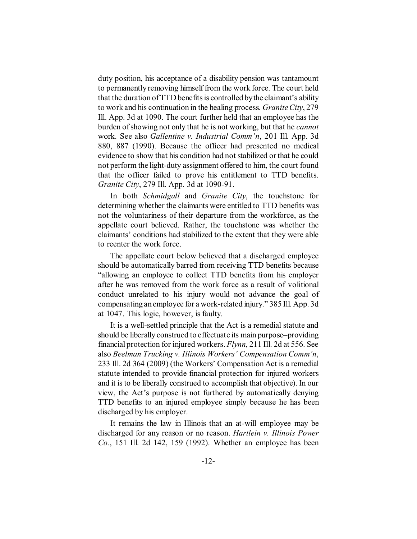duty position, his acceptance of a disability pension was tantamount to permanently removing himself from the work force. The court held that the duration of TTD benefits is controlled by the claimant's ability to work and his continuation in the healing process. *Granite City*, 279 Ill. App. 3d at 1090. The court further held that an employee has the burden of showing not only that he is not working, but that he *cannot* work. See also *Gallentine v. Industrial Comm'n*, 201 Ill. App. 3d 880, 887 (1990). Because the officer had presented no medical evidence to show that his condition had not stabilized or that he could not perform the light-duty assignment offered to him, the court found that the officer failed to prove his entitlement to TTD benefits. *Granite City*, 279 Ill. App. 3d at 1090-91.

In both *Schmidgall* and *Granite City*, the touchstone for determining whether the claimants were entitled to TTD benefits was not the voluntariness of their departure from the workforce, as the appellate court believed. Rather, the touchstone was whether the claimants' conditions had stabilized to the extent that they were able to reenter the work force.

The appellate court below believed that a discharged employee should be automatically barred from receiving TTD benefits because "allowing an employee to collect TTD benefits from his employer after he was removed from the work force as a result of volitional conduct unrelated to his injury would not advance the goal of compensating an employee for a work-related injury." 385 Ill. App. 3d at 1047. This logic, however, is faulty.

It is a well-settled principle that the Act is a remedial statute and should be liberally construed to effectuate its main purpose–providing financial protection for injured workers. *Flynn*, 211 Ill. 2d at 556. See also *Beelman Trucking v. Illinois Workers' Compensation Comm'n*, 233 Ill. 2d 364 (2009) (the Workers' Compensation Act is a remedial statute intended to provide financial protection for injured workers and it is to be liberally construed to accomplish that objective). In our view, the Act's purpose is not furthered by automatically denying TTD benefits to an injured employee simply because he has been discharged by his employer.

It remains the law in Illinois that an at-will employee may be discharged for any reason or no reason. *Hartlein v. Illinois Power Co.*, 151 Ill. 2d 142, 159 (1992). Whether an employee has been